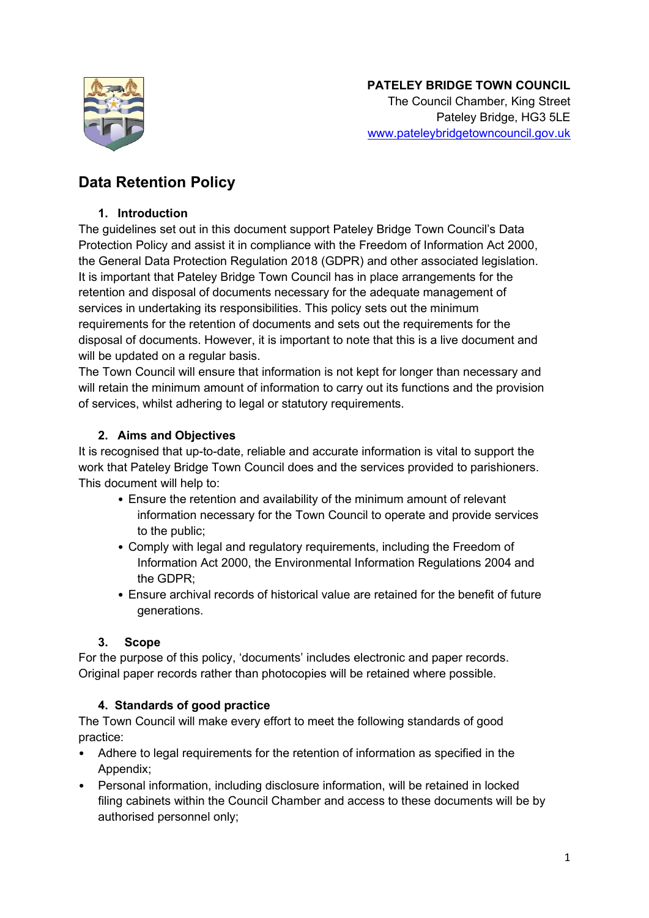

# **Data Retention Policy**

#### **1. Introduction**

The guidelines set out in this document support Pateley Bridge Town Council's Data Protection Policy and assist it in compliance with the Freedom of Information Act 2000, the General Data Protection Regulation 2018 (GDPR) and other associated legislation. It is important that Pateley Bridge Town Council has in place arrangements for the retention and disposal of documents necessary for the adequate management of services in undertaking its responsibilities. This policy sets out the minimum requirements for the retention of documents and sets out the requirements for the disposal of documents. However, it is important to note that this is a live document and will be updated on a regular basis.

The Town Council will ensure that information is not kept for longer than necessary and will retain the minimum amount of information to carry out its functions and the provision of services, whilst adhering to legal or statutory requirements.

# **2. Aims and Objectives**

It is recognised that up-to-date, reliable and accurate information is vital to support the work that Pateley Bridge Town Council does and the services provided to parishioners. This document will help to:

- Ensure the retention and availability of the minimum amount of relevant information necessary for the Town Council to operate and provide services to the public;
- Comply with legal and regulatory requirements, including the Freedom of Information Act 2000, the Environmental Information Regulations 2004 and the GDPR;
- Ensure archival records of historical value are retained for the benefit of future generations.

# **3. Scope**

For the purpose of this policy, 'documents' includes electronic and paper records. Original paper records rather than photocopies will be retained where possible.

# **4. Standards of good practice**

The Town Council will make every effort to meet the following standards of good practice:

- Adhere to legal requirements for the retention of information as specified in the Appendix;
- Personal information, including disclosure information, will be retained in locked filing cabinets within the Council Chamber and access to these documents will be by authorised personnel only;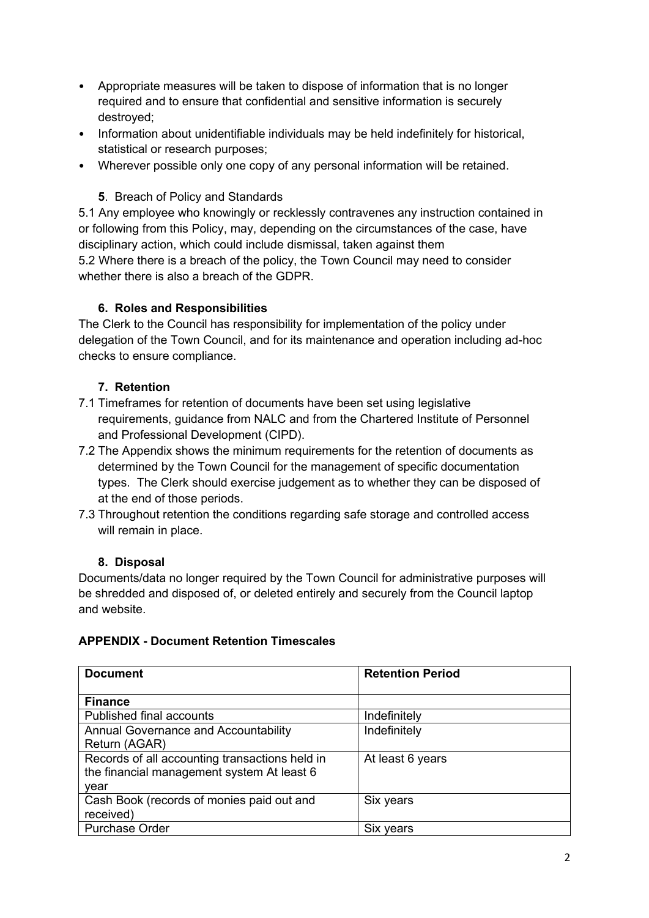- Appropriate measures will be taken to dispose of information that is no longer required and to ensure that confidential and sensitive information is securely destroyed;
- Information about unidentifiable individuals may be held indefinitely for historical, statistical or research purposes;
- Wherever possible only one copy of any personal information will be retained.

### **5**. Breach of Policy and Standards

5.1 Any employee who knowingly or recklessly contravenes any instruction contained in or following from this Policy, may, depending on the circumstances of the case, have disciplinary action, which could include dismissal, taken against them 5.2 Where there is a breach of the policy, the Town Council may need to consider

whether there is also a breach of the GDPR.

#### **6. Roles and Responsibilities**

The Clerk to the Council has responsibility for implementation of the policy under delegation of the Town Council, and for its maintenance and operation including ad-hoc checks to ensure compliance.

#### **7. Retention**

- 7.1 Timeframes for retention of documents have been set using legislative requirements, guidance from NALC and from the Chartered Institute of Personnel and Professional Development (CIPD).
- 7.2 The Appendix shows the minimum requirements for the retention of documents as determined by the Town Council for the management of specific documentation types. The Clerk should exercise judgement as to whether they can be disposed of at the end of those periods.
- 7.3 Throughout retention the conditions regarding safe storage and controlled access will remain in place.

# **8. Disposal**

Documents/data no longer required by the Town Council for administrative purposes will be shredded and disposed of, or deleted entirely and securely from the Council laptop and website.

#### **APPENDIX - Document Retention Timescales**

| <b>Document</b>                                | <b>Retention Period</b> |
|------------------------------------------------|-------------------------|
|                                                |                         |
| <b>Finance</b>                                 |                         |
| Published final accounts                       | Indefinitely            |
| <b>Annual Governance and Accountability</b>    | Indefinitely            |
| Return (AGAR)                                  |                         |
| Records of all accounting transactions held in | At least 6 years        |
| the financial management system At least 6     |                         |
| year                                           |                         |
| Cash Book (records of monies paid out and      | Six years               |
| received)                                      |                         |
| <b>Purchase Order</b>                          | Six years               |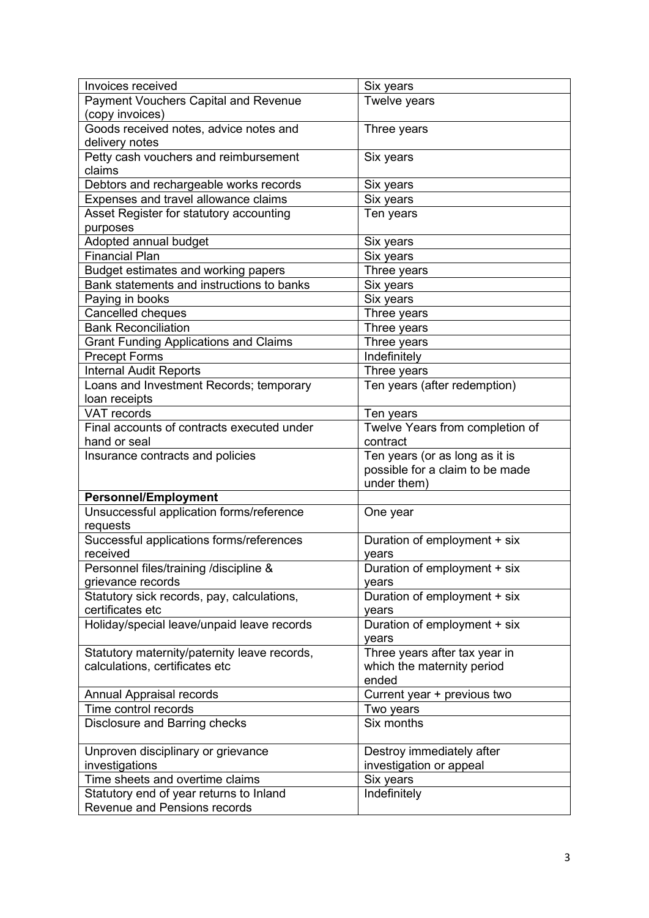| <b>Invoices received</b>                                                | Six years                       |
|-------------------------------------------------------------------------|---------------------------------|
| <b>Payment Vouchers Capital and Revenue</b>                             | Twelve years                    |
| (copy invoices)                                                         |                                 |
| Goods received notes, advice notes and                                  | Three years                     |
| delivery notes                                                          |                                 |
| Petty cash vouchers and reimbursement                                   | Six years                       |
| claims                                                                  |                                 |
| Debtors and rechargeable works records                                  | Six years                       |
| Expenses and travel allowance claims                                    | Six years                       |
| Asset Register for statutory accounting                                 | Ten years                       |
| purposes                                                                |                                 |
| Adopted annual budget                                                   | Six years                       |
| Financial Plan                                                          | Six years                       |
| Budget estimates and working papers                                     | Three years                     |
| Bank statements and instructions to banks                               | Six years                       |
| Paying in books                                                         | Six years                       |
| Cancelled cheques                                                       | Three years                     |
| <b>Bank Reconciliation</b>                                              | Three years                     |
| <b>Grant Funding Applications and Claims</b>                            | Three years                     |
| <b>Precept Forms</b>                                                    | Indefinitely                    |
| <b>Internal Audit Reports</b>                                           | Three years                     |
| Loans and Investment Records; temporary                                 | Ten years (after redemption)    |
| loan receipts                                                           |                                 |
| <b>VAT records</b>                                                      | Ten years                       |
| Final accounts of contracts executed under                              | Twelve Years from completion of |
| hand or seal                                                            | contract                        |
| Insurance contracts and policies                                        | Ten years (or as long as it is  |
|                                                                         | possible for a claim to be made |
|                                                                         | under them)                     |
| <b>Personnel/Employment</b>                                             |                                 |
| Unsuccessful application forms/reference                                | One year                        |
| requests                                                                |                                 |
| Successful applications forms/references                                | Duration of employment + six    |
| received                                                                | years                           |
| Personnel files/training /discipline &                                  | Duration of employment + six    |
| grievance records                                                       | years                           |
| Statutory sick records, pay, calculations,                              | Duration of employment + six    |
| certificates etc                                                        | years                           |
| Holiday/special leave/unpaid leave records                              | Duration of employment + six    |
|                                                                         | years                           |
| Statutory maternity/paternity leave records,                            | Three years after tax year in   |
| calculations, certificates etc                                          | which the maternity period      |
|                                                                         | ended                           |
| Annual Appraisal records                                                | Current year + previous two     |
| Time control records                                                    | Two years                       |
| Disclosure and Barring checks                                           | Six months                      |
|                                                                         |                                 |
| Unproven disciplinary or grievance                                      | Destroy immediately after       |
| investigations<br>Time sheets and overtime claims                       | investigation or appeal         |
|                                                                         | Six years                       |
| Statutory end of year returns to Inland<br>Revenue and Pensions records | Indefinitely                    |
|                                                                         |                                 |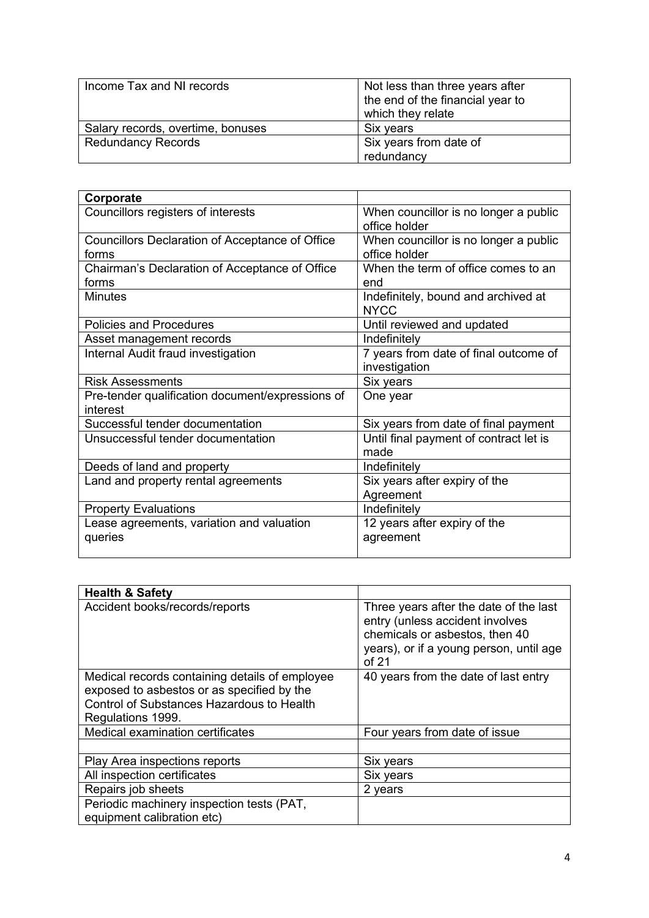| Income Tax and NI records         | Not less than three years after<br>the end of the financial year to<br>which they relate |
|-----------------------------------|------------------------------------------------------------------------------------------|
| Salary records, overtime, bonuses | Six years                                                                                |
| <b>Redundancy Records</b>         | Six years from date of                                                                   |
|                                   | redundancy                                                                               |

| Corporate                                                       |                                                        |
|-----------------------------------------------------------------|--------------------------------------------------------|
| Councillors registers of interests                              | When councillor is no longer a public<br>office holder |
| <b>Councillors Declaration of Acceptance of Office</b><br>forms | When councillor is no longer a public<br>office holder |
| Chairman's Declaration of Acceptance of Office<br>forms         | When the term of office comes to an<br>end             |
| <b>Minutes</b>                                                  | Indefinitely, bound and archived at<br><b>NYCC</b>     |
| <b>Policies and Procedures</b>                                  | Until reviewed and updated                             |
| Asset management records                                        | Indefinitely                                           |
| Internal Audit fraud investigation                              | 7 years from date of final outcome of<br>investigation |
| <b>Risk Assessments</b>                                         | Six years                                              |
| Pre-tender qualification document/expressions of<br>interest    | One year                                               |
| Successful tender documentation                                 | Six years from date of final payment                   |
| Unsuccessful tender documentation                               | Until final payment of contract let is<br>made         |
| Deeds of land and property                                      | Indefinitely                                           |
| Land and property rental agreements                             | Six years after expiry of the<br>Agreement             |
| <b>Property Evaluations</b>                                     | Indefinitely                                           |
| Lease agreements, variation and valuation<br>queries            | 12 years after expiry of the<br>agreement              |

| <b>Health &amp; Safety</b>                                                                                                                                     |                                                                                                                                                                 |
|----------------------------------------------------------------------------------------------------------------------------------------------------------------|-----------------------------------------------------------------------------------------------------------------------------------------------------------------|
| Accident books/records/reports                                                                                                                                 | Three years after the date of the last<br>entry (unless accident involves<br>chemicals or asbestos, then 40<br>years), or if a young person, until age<br>of 21 |
| Medical records containing details of employee<br>exposed to asbestos or as specified by the<br>Control of Substances Hazardous to Health<br>Regulations 1999. | 40 years from the date of last entry                                                                                                                            |
| Medical examination certificates                                                                                                                               | Four years from date of issue                                                                                                                                   |
|                                                                                                                                                                |                                                                                                                                                                 |
| Play Area inspections reports                                                                                                                                  | Six years                                                                                                                                                       |
| All inspection certificates                                                                                                                                    | Six years                                                                                                                                                       |
| Repairs job sheets                                                                                                                                             | 2 years                                                                                                                                                         |
| Periodic machinery inspection tests (PAT,<br>equipment calibration etc)                                                                                        |                                                                                                                                                                 |